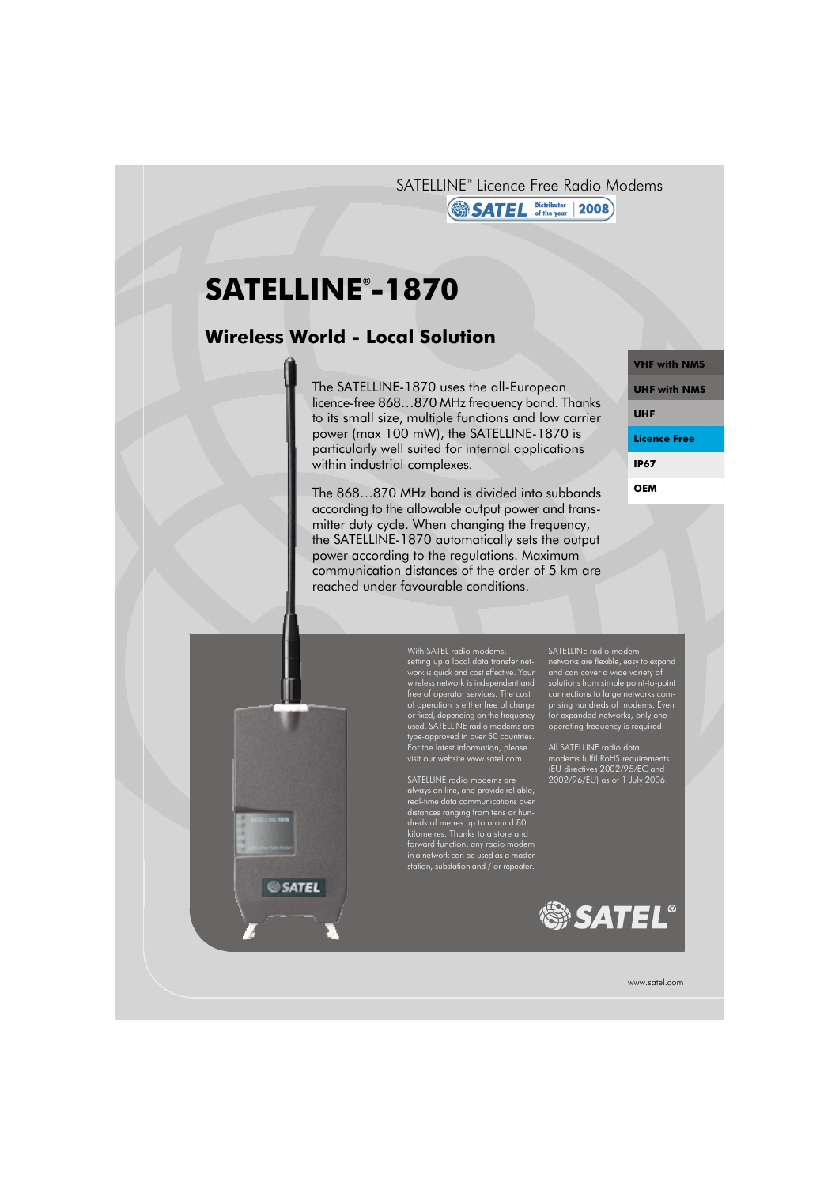SATELLINE® Licence Free Radio Modems

### **SATEL** Distributor 2008

# **SATELLINE® -1870**

SATEL

# **Wireless World - Local Solution**

The SATELLINE-1870 uses the all-European licence-free 868…870 MHz frequency band. Thanks to its small size, multiple functions and low carrier power (max 100 mW), the SATELLINE-1870 is particularly well suited for internal applications within industrial complexes.

The 868…870 MHz band is divided into subbands according to the allowable output power and transmitter duty cycle. When changing the frequency, the SATELLINE-1870 automatically sets the output power according to the regulations. Maximum communication distances of the order of 5 km are reached under favourable conditions.

**VHF with NMS UHF with NMS UHF Licence Free IP67 OEM**



SATELLINE radio modems are always on line, and provide reliable, real-time data communications over distances ranging from tens or hundreds of metres up to around 80 kilometres. Thanks to a store and forward function, any radio modem in a network can be used as a master station, substation and / or repeater.

SATELLINE radio modem networks are flexible, easy to expand and can cover a wide variety of solutions from simple point-to-point connections to large networks comprising hundreds of modems. Even for expanded networks, only one operating frequency is required.

All SATELLINE radio data modems fulfil RoHS requirements (EU directives 2002/95/EC and 2002/96/EU) as of 1 July 2006.